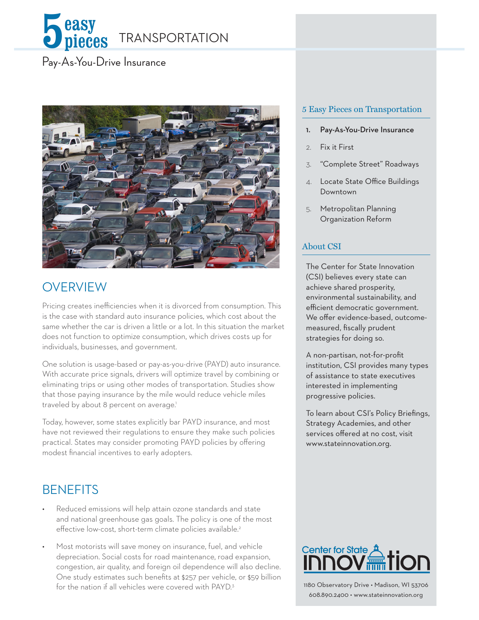

#### Pay-As-You-Drive Insurance



## **OVERVIEW**

Pricing creates inefficiencies when it is divorced from consumption. This is the case with standard auto insurance policies, which cost about the same whether the car is driven a little or a lot. In this situation the market does not function to optimize consumption, which drives costs up for individuals, businesses, and government.

One solution is usage-based or pay-as-you-drive (PAYD) auto insurance. With accurate price signals, drivers will optimize travel by combining or eliminating trips or using other modes of transportation. Studies show that those paying insurance by the mile would reduce vehicle miles traveled by about 8 percent on average.<sup>1</sup>

Today, however, some states explicitly bar PAYD insurance, and most have not reviewed their regulations to ensure they make such policies practical. States may consider promoting PAYD policies by offering modest financial incentives to early adopters.

# **BENEFITS**

- Reduced emissions will help attain ozone standards and state and national greenhouse gas goals. The policy is one of the most effective low-cost, short-term climate policies available.<sup>2</sup>
- Most motorists will save money on insurance, fuel, and vehicle depreciation. Social costs for road maintenance, road expansion, congestion, air quality, and foreign oil dependence will also decline. One study estimates such benefits at \$257 per vehicle, or \$59 billion for the nation if all vehicles were covered with PAYD.<sup>3</sup>

#### 5 Easy Pieces on Transportation

- 1. Pay-As-You-Drive Insurance
- 2. Fix it First
- 3. "Complete Street" Roadways
- 4. Locate State Office Buildings Downtown
- 5. Metropolitan Planning Organization Reform

#### About CSI

The Center for State Innovation (CSI) believes every state can achieve shared prosperity, environmental sustainability, and efficient democratic government. We offer evidence-based, outcomemeasured, fiscally prudent strategies for doing so.

A non-partisan, not-for-profit institution, CSI provides many types of assistance to state executives interested in implementing progressive policies.

To learn about CSI's Policy Briefings, Strategy Academies, and other services offered at no cost, visit www.stateinnovation.org.



1180 Observatory Drive • Madison, WI 53706 608.890.2400 • www.stateinnovation.org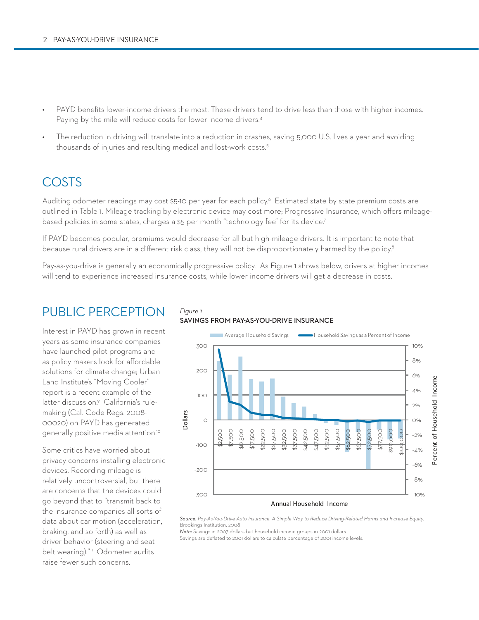- PAYD benefits lower-income drivers the most. These drivers tend to drive less than those with higher incomes. Paying by the mile will reduce costs for lower-income drivers.<sup>4</sup>
- The reduction in driving will translate into a reduction in crashes, saving 5,000 U.S. lives a year and avoiding thousands of injuries and resulting medical and lost-work costs.5

#### **COSTS**

Auditing odometer readings may cost \$5-10 per year for each policy.<sup>6</sup> Estimated state by state premium costs are outlined in Table 1. Mileage tracking by electronic device may cost more; Progressive Insurance, which offers mileagebased policies in some states, charges a \$5 per month "technology fee" for its device.7

If PAYD becomes popular, premiums would decrease for all but high-mileage drivers. It is important to note that because rural drivers are in a different risk class, they will not be disproportionately harmed by the policy.<sup>8</sup>

Pay-as-you-drive is generally an economically progressive policy. As Figure 1 shows below, drivers at higher incomes will tend to experience increased insurance costs, while lower income drivers will get a decrease in costs.

## Public perception

Interest in PAYD has grown in recent years as some insurance companies have launched pilot programs and as policy makers look for affordable solutions for climate change; Urban Land Institute's "Moving Cooler" report is a recent example of the latter discussion.<sup>9</sup> California's rulemaking (Cal. Code Regs. 2008- 00020) on PAYD has generated generally positive media attention.<sup>10</sup>

Some critics have worried about privacy concerns installing electronic devices. Recording mileage is relatively uncontroversial, but there are concerns that the devices could go beyond that to "transmit back to the insurance companies all sorts of data about car motion (acceleration, braking, and so forth) as well as driver behavior (steering and seatbelt wearing)."<sup>11</sup> Odometer audits raise fewer such concerns.

#### *Figure 1* **Savings from pay-as-you-drive insurance**



*Source: Pay-As-You-Drive Auto Insurance: A Simple Way to Reduce Driving-Related Harms and Increase Equity,*  Brookings Institution, 2008

*Note:* Savings in 2007 dollars but household income groups in 2001 dollars.

Savings are deflated to 2001 dollars to calculate percentage of 2001 income levels.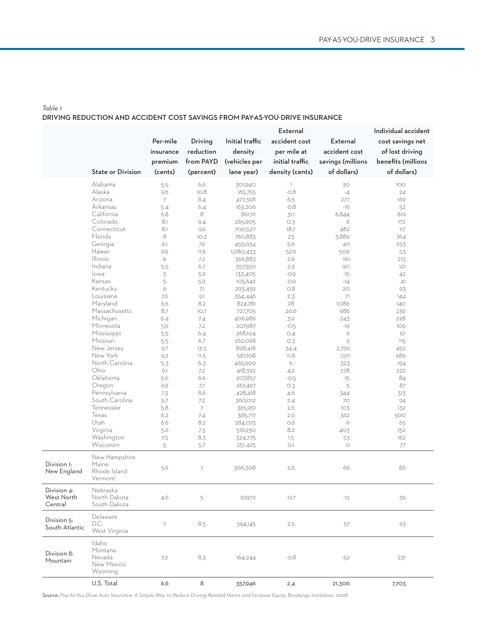#### *Table 1* **driving reduction and accident cost savings from pay-as-you-drive insurance**

|                |                          |                |                          |                 | External        |                   | Individual accident |
|----------------|--------------------------|----------------|--------------------------|-----------------|-----------------|-------------------|---------------------|
|                |                          | Per-mile       | Driving                  | Initial traffic | accident cost   | External          | cost savings net    |
|                |                          | insurance      | reduction                | density         | per mile at     | accident cost     | of lost driving     |
|                |                          |                | from PAYD                |                 | initial traffic |                   | benefits (millions  |
|                | <b>State or Division</b> | premium        |                          | (vehicles per   |                 | savings (millions |                     |
|                |                          | (cents)        | (percent)                | lane year)      | density (cents) | of dollars)       | of dollars)         |
|                | Alabama                  | 5.5            | 6.6                      | 301,940         | $\mathbb{I}$    | 30                | 100                 |
|                | Alaska                   | 9.6            | 10.8                     | 165,755         | $-0.8$          | $-4$              | 24                  |
|                | Arizona                  | 7              | 8.4                      | 477,398         | 6.5             | 277               | 169                 |
|                | Arkansas                 | 5.4            | 6.4                      | 163,206         | $-0.8$          | -16               | 52                  |
|                | California               | 6.8            | 8                        | 861,111         | 31.1            | 6,844             | 819                 |
|                | Colorado                 | 8.1            | 9.4                      | 265,905         | O.3             | 6                 | 172                 |
|                | Connecticut              | 8.1            | 9.9                      | 700,527         | 18.7            | 482               | 117                 |
|                | Florida                  | 8              | 10.2                     | 760,883         | 23              | 3,889             | 764                 |
|                | Georgia                  | 6.1            | 7.9                      | 455,034         | 5.6             | 411               | 253                 |
|                | Hawaii                   | 9.9            | 11.6                     | 1,080,433       | 52.9            | 506               | 53                  |
|                | <b>Illinois</b>          | 6              | 7.2                      | 366,883         | 2.6             | 161               | 213                 |
|                | Indiana                  | 5.5            | 6.7                      | 357,550         | 2.3             | 90                | 121                 |
|                | lowa                     | 5              | 5.9                      | 133,405         | $-0.9$          | $-15$             | 42                  |
|                | Kansas                   | 5              | 5.9                      | 105,642         | $-0.9$          | $-14$             | 41                  |
|                | Kentucky                 | 6              | 7.1                      | 293,459         | O.8             | 20                | 93                  |
|                | Louisiana                | 7.6            | 9.1                      | 354,446         | 2.3             | 71                | 144                 |
|                | Maryland                 | 6.6            | 8.2                      | 824,781         | 28              | 1,086             | 140                 |
|                | Massachusetts            | 8.7            | 10.7                     | 727,705         | 20.6            | 986               | 236                 |
|                | Michigan                 | 6.4            | 7.4                      | 406,986         | 3.9             | 243               | 228                 |
|                | Minnesota                | 5.9            | 7.2                      | 207,987         | $-0.5$          | $-19$             | 109                 |
|                | Mississippi              | 5.5            | 6.4                      | 268,104         | O.4             | 6                 | 67                  |
|                | Missouri                 | 5.5            | 6.7                      | 262,098         | O.3             | 5                 | 115                 |
|                | New Jersey               | 9.7            | 13.5                     | 898,418         | 34.4            | 2,759             | 452                 |
|                | New York                 | 9.2            | 11.5                     | 587,108         | 11.8            | 1,511             | 689                 |
|                | North Carolina           | 5.3            | 6.3                      | 465,909         | 6               | 323               | 154                 |
|                | Ohio                     | 6.1            | 7.2                      | 418,592         | 4.2             | 278               | 222                 |
|                | Oklahoma                 | 5.6            | 6.6                      | 207,857         | $-0.5$          | $-15$             | 84                  |
|                | Oregon                   | 6.9            | 7.7                      | 267,497         | O.3             | 5                 | 87                  |
|                | Pennsylvania             | 7.3            | 8.6                      | 428,418         | 4.6             |                   |                     |
|                | South Carolina           |                |                          |                 |                 | 344               | 313                 |
|                | Tennessee                | 5.7            | 7.2                      | 360,012         | 2.4             | 70                | 94                  |
|                |                          | 5.8            | $\overline{7}$           | 365,951         | 2.6             | 103               | 132                 |
|                | Texas                    | 6.2            | 7.4                      | 365,717         | 2.6             | 362               | 500                 |
|                | Utah                     | 6.6            | 8.2                      | 284,073         | 0.6             | 9                 | 65                  |
|                | Virginia                 | 5.6            | 7.3                      | 516,930         | 8.2             | 403               | 152                 |
|                | Washington               | 7.5            | 8.3                      | 324,775         | 1.5             | 53                | 162                 |
|                | Wisconsin                | 5              | 5.7                      | 251,425         | O.1             | $\bigcirc$        | 77                  |
|                | New Hampshire            |                |                          |                 |                 |                   |                     |
| Division 1:    | Maine                    | 5.9            | $\overline{\phantom{a}}$ | 366,308         | 2.6             | 66                | 86                  |
| New England    | Rhode Island             |                |                          |                 |                 |                   |                     |
|                | Vermont                  |                |                          |                 |                 |                   |                     |
| Division 4:    | Nebraska                 |                |                          |                 |                 |                   |                     |
| West North     | North Dakota             | 4.6            | 5                        | 67,972          | $-0.7$          | $-12$             | 39                  |
| Central        | South Dakota             |                |                          |                 |                 |                   |                     |
|                | Delaware                 |                |                          |                 |                 |                   |                     |
| Division 5:    | D.C.                     | $\overline{7}$ | 8.5                      | 364,145         | $2.5\,$         | 57                | 93                  |
| South Atlantic | West Virginia            |                |                          |                 |                 |                   |                     |
|                | Idaho                    |                |                          |                 |                 |                   |                     |
|                | Montana                  |                |                          |                 |                 |                   |                     |
| Division 8:    | Nevada                   | 7.2            | 8.3                      | 164,244         | -0.8            | $-52$             | 231                 |
| Mountain       | New Mexico               |                |                          |                 |                 |                   |                     |
|                | Wyoming                  |                |                          |                 |                 |                   |                     |
|                |                          |                |                          |                 |                 |                   |                     |
|                | U.S. Total               | 6.6            | 8                        | 357,946         | 2.4             | 21,306            | 7,703               |

Source: Pay-As-You-Drive Auto Insurance: A Simple Way to Reduce Driving-Related Harms and Increase Equity, Brookings Institution, 2008